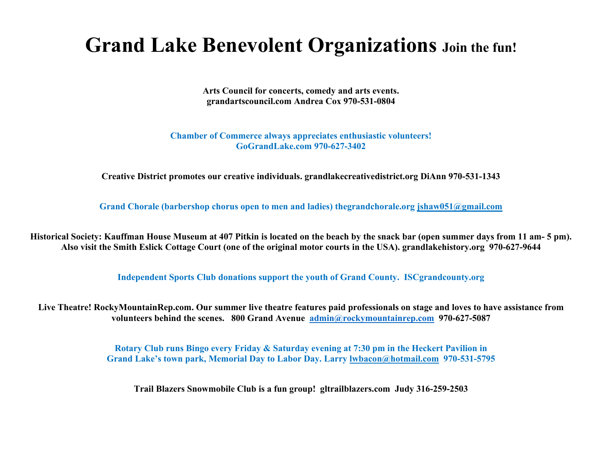## **Grand Lake Benevolent Organizations Join the fun!**

**Arts Council for concerts, comedy and arts events. grandartscouncil.com Andrea Cox 970-531-0804**

**Chamber of Commerce always appreciates enthusiastic volunteers! GoGrandLake.com 970-627-3402**

**Creative District promotes our creative individuals. grandlakecreativedistrict.org DiAnn 970-531-1343**

**Grand Chorale (barbershop chorus open to men and ladies) thegrandchorale.org [jshaw051@gmail.com](mailto:jshaw051@gmail.com)**

**Historical Society: Kauffman House Museum at 407 Pitkin is located on the beach by the snack bar (open summer days from 11 am- 5 pm). Also visit the Smith Eslick Cottage Court (one of the original motor courts in the USA). grandlakehistory.org 970-627-9644**

**Independent Sports Club donations support the youth of Grand County. ISCgrandcounty.org**

**Live Theatre! RockyMountainRep.com. Our summer live theatre features paid professionals on stage and loves to have assistance from volunteers behind the scenes. 800 Grand Avenue [admin@rockymountainrep.com](mailto:admin@rockymountainrep.com) 970-627-5087**

> **Rotary Club runs Bingo every Friday & Saturday evening at 7:30 pm in the Heckert Pavilion in Grand Lake's town park, Memorial Day to Labor Day. Larry [lwbacon@hotmail.com](mailto:lwbacon@hotmail.com) 970-531-5795**

**Trail Blazers Snowmobile Club is a fun group! gltrailblazers.com Judy 316-259-2503**